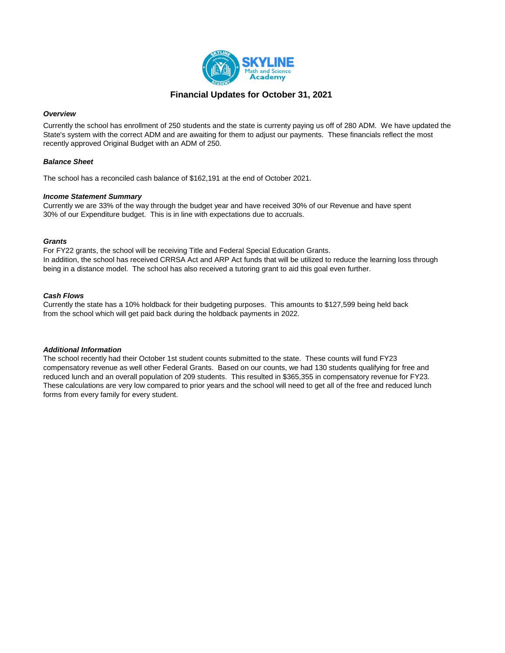

# **Financial Updates for October 31, 2021**

### *Overview*

Currently the school has enrollment of 250 students and the state is currenty paying us off of 280 ADM. We have updated the State's system with the correct ADM and are awaiting for them to adjust our payments. These financials reflect the most recently approved Original Budget with an ADM of 250.

### *Balance Sheet*

The school has a reconciled cash balance of \$162,191 at the end of October 2021.

#### *Income Statement Summary*

Currently we are 33% of the way through the budget year and have received 30% of our Revenue and have spent 30% of our Expenditure budget. This is in line with expectations due to accruals.

### *Grants*

For FY22 grants, the school will be receiving Title and Federal Special Education Grants. In addition, the school has received CRRSA Act and ARP Act funds that will be utilized to reduce the learning loss through being in a distance model. The school has also received a tutoring grant to aid this goal even further.

### *Cash Flows*

Currently the state has a 10% holdback for their budgeting purposes. This amounts to \$127,599 being held back from the school which will get paid back during the holdback payments in 2022.

#### *Additional Information*

The school recently had their October 1st student counts submitted to the state. These counts will fund FY23 compensatory revenue as well other Federal Grants. Based on our counts, we had 130 students qualifying for free and reduced lunch and an overall population of 209 students. This resulted in \$365,355 in compensatory revenue for FY23. These calculations are very low compared to prior years and the school will need to get all of the free and reduced lunch forms from every family for every student.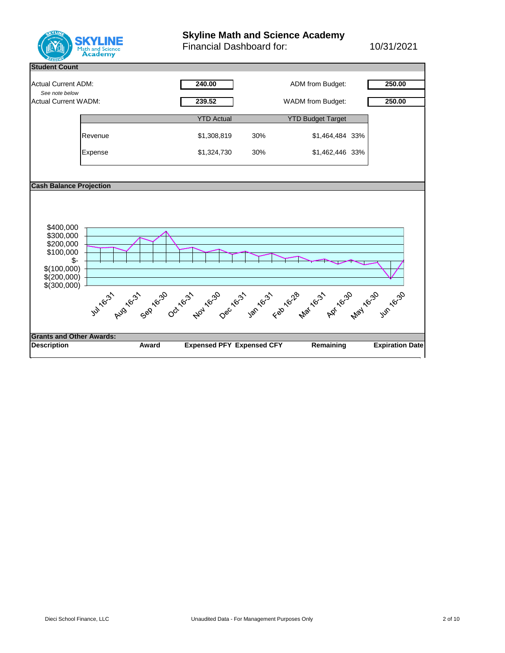

# **Skyline Math and Science Academy**

Financial Dashboard for: 10/31/2021

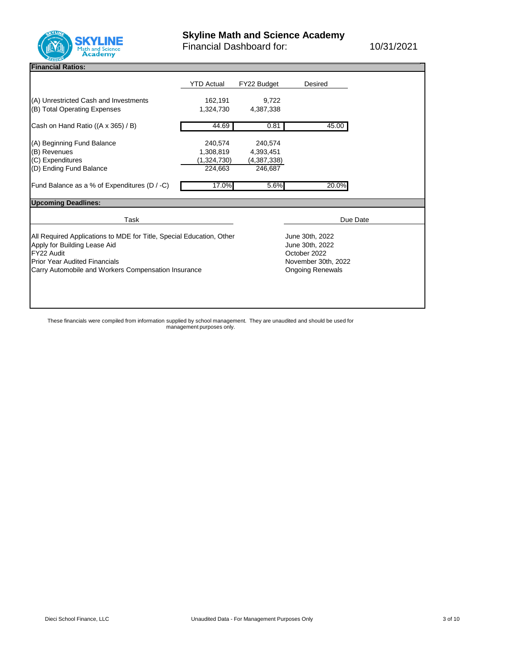

Financial Dashboard for: 10/31/2021

# **Financial Ratios: General:**

|                                                                                                                                                                                                                   | <b>YTD Actual</b>                              | FY22 Budget                                                                                          | <b>Desired</b> |
|-------------------------------------------------------------------------------------------------------------------------------------------------------------------------------------------------------------------|------------------------------------------------|------------------------------------------------------------------------------------------------------|----------------|
| (A) Unrestricted Cash and Investments<br>(B) Total Operating Expenses                                                                                                                                             | 162,191<br>1,324,730                           | 9,722<br>4,387,338                                                                                   |                |
| Cash on Hand Ratio ((A x 365) / B)                                                                                                                                                                                | 44.69                                          | 0.81                                                                                                 | 45.00          |
| (A) Beginning Fund Balance<br>(B) Revenues<br>(C) Expenditures<br>(D) Ending Fund Balance                                                                                                                         | 240,574<br>1,308,819<br>(1,324,730)<br>224,663 | 240,574<br>4,393,451<br>(4,387,338)<br>246,687                                                       |                |
| Fund Balance as a % of Expenditures (D / -C)                                                                                                                                                                      | 17.0%                                          | 5.6%                                                                                                 | 20.0%          |
| <b>Upcoming Deadlines:</b>                                                                                                                                                                                        |                                                |                                                                                                      |                |
| <b>Task</b>                                                                                                                                                                                                       |                                                |                                                                                                      | Due Date       |
| All Required Applications to MDE for Title, Special Education, Other<br>Apply for Building Lease Aid<br>FY22 Audit<br><b>Prior Year Audited Financials</b><br>Carry Automobile and Workers Compensation Insurance |                                                | June 30th, 2022<br>June 30th, 2022<br>October 2022<br>November 30th, 2022<br><b>Ongoing Renewals</b> |                |

These financials were compiled from information supplied by school management. They are unaudited and should be used for management purposes only.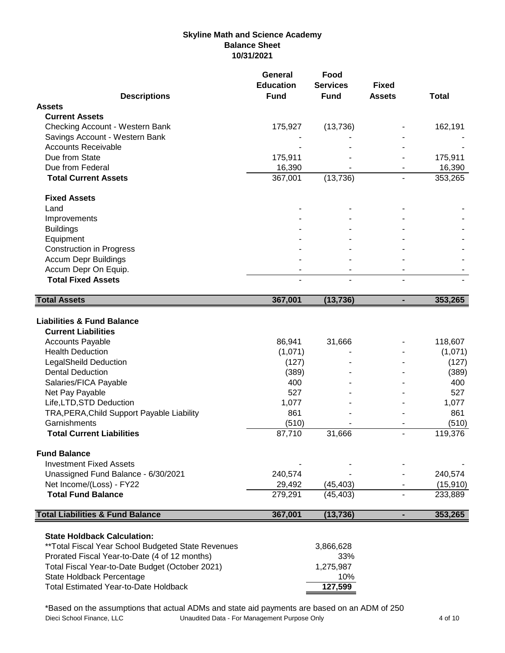# **Skyline Math and Science Academy Balance Sheet 10/31/2021**

|                                                                                                                                                                                                                                                                                                                                                                                       | General<br><b>Education</b>                                                          | Food<br><b>Services</b>                         | <b>Fixed</b>   |                                                                                        |
|---------------------------------------------------------------------------------------------------------------------------------------------------------------------------------------------------------------------------------------------------------------------------------------------------------------------------------------------------------------------------------------|--------------------------------------------------------------------------------------|-------------------------------------------------|----------------|----------------------------------------------------------------------------------------|
| <b>Descriptions</b>                                                                                                                                                                                                                                                                                                                                                                   | <b>Fund</b>                                                                          | <b>Fund</b>                                     | <b>Assets</b>  | <b>Total</b>                                                                           |
| <b>Assets</b>                                                                                                                                                                                                                                                                                                                                                                         |                                                                                      |                                                 |                |                                                                                        |
| <b>Current Assets</b>                                                                                                                                                                                                                                                                                                                                                                 |                                                                                      |                                                 |                |                                                                                        |
| Checking Account - Western Bank                                                                                                                                                                                                                                                                                                                                                       | 175,927                                                                              | (13, 736)                                       |                | 162,191                                                                                |
| Savings Account - Western Bank<br><b>Accounts Receivable</b>                                                                                                                                                                                                                                                                                                                          |                                                                                      |                                                 |                |                                                                                        |
| Due from State                                                                                                                                                                                                                                                                                                                                                                        |                                                                                      |                                                 |                |                                                                                        |
|                                                                                                                                                                                                                                                                                                                                                                                       | 175,911                                                                              |                                                 |                | 175,911                                                                                |
| Due from Federal<br><b>Total Current Assets</b>                                                                                                                                                                                                                                                                                                                                       | 16,390                                                                               |                                                 |                | 16,390                                                                                 |
|                                                                                                                                                                                                                                                                                                                                                                                       | 367,001                                                                              | (13, 736)                                       |                | 353,265                                                                                |
| <b>Fixed Assets</b>                                                                                                                                                                                                                                                                                                                                                                   |                                                                                      |                                                 |                |                                                                                        |
| Land                                                                                                                                                                                                                                                                                                                                                                                  |                                                                                      |                                                 |                |                                                                                        |
| Improvements                                                                                                                                                                                                                                                                                                                                                                          |                                                                                      |                                                 |                |                                                                                        |
| <b>Buildings</b>                                                                                                                                                                                                                                                                                                                                                                      |                                                                                      |                                                 |                |                                                                                        |
| Equipment                                                                                                                                                                                                                                                                                                                                                                             |                                                                                      |                                                 |                |                                                                                        |
| <b>Construction in Progress</b>                                                                                                                                                                                                                                                                                                                                                       |                                                                                      |                                                 |                |                                                                                        |
| <b>Accum Depr Buildings</b>                                                                                                                                                                                                                                                                                                                                                           |                                                                                      |                                                 |                |                                                                                        |
| Accum Depr On Equip.                                                                                                                                                                                                                                                                                                                                                                  |                                                                                      |                                                 |                |                                                                                        |
| <b>Total Fixed Assets</b>                                                                                                                                                                                                                                                                                                                                                             |                                                                                      |                                                 |                |                                                                                        |
|                                                                                                                                                                                                                                                                                                                                                                                       |                                                                                      |                                                 |                |                                                                                        |
| <b>Total Assets</b>                                                                                                                                                                                                                                                                                                                                                                   | 367,001                                                                              | (13, 736)                                       | ٠              | 353,265                                                                                |
| <b>Liabilities &amp; Fund Balance</b><br><b>Current Liabilities</b><br><b>Accounts Payable</b><br><b>Health Deduction</b><br><b>LegalSheild Deduction</b><br><b>Dental Deduction</b><br>Salaries/FICA Payable<br>Net Pay Payable<br>Life, LTD, STD Deduction<br>TRA, PERA, Child Support Payable Liability<br>Garnishments<br><b>Total Current Liabilities</b><br><b>Fund Balance</b> | 86,941<br>(1,071)<br>(127)<br>(389)<br>400<br>527<br>1,077<br>861<br>(510)<br>87,710 | 31,666<br>31,666                                | $\blacksquare$ | 118,607<br>(1,071)<br>(127)<br>(389)<br>400<br>527<br>1,077<br>861<br>(510)<br>119,376 |
| <b>Investment Fixed Assets</b>                                                                                                                                                                                                                                                                                                                                                        |                                                                                      |                                                 |                |                                                                                        |
| Unassigned Fund Balance - 6/30/2021                                                                                                                                                                                                                                                                                                                                                   | 240,574                                                                              |                                                 |                | 240,574                                                                                |
| Net Income/(Loss) - FY22                                                                                                                                                                                                                                                                                                                                                              | 29,492                                                                               | (45, 403)                                       |                | (15, 910)                                                                              |
| <b>Total Fund Balance</b>                                                                                                                                                                                                                                                                                                                                                             | 279,291                                                                              | (45, 403)                                       |                | 233,889                                                                                |
| <b>Total Liabilities &amp; Fund Balance</b>                                                                                                                                                                                                                                                                                                                                           | 367,001                                                                              | (13, 736)                                       | ۰              | 353,265                                                                                |
| <b>State Holdback Calculation:</b><br>** Total Fiscal Year School Budgeted State Revenues<br>Prorated Fiscal Year-to-Date (4 of 12 months)<br>Total Fiscal Year-to-Date Budget (October 2021)<br>State Holdback Percentage<br><b>Total Estimated Year-to-Date Holdback</b>                                                                                                            |                                                                                      | 3,866,628<br>33%<br>1,275,987<br>10%<br>127,599 |                |                                                                                        |

\*Based on the assumptions that actual ADMs and state aid payments are based on an ADM of 250<br>Dieci School Finance, LLC Unaudited Data - For Management Purpose Only Unaudited Data - For Management Purpose Only 4 of 10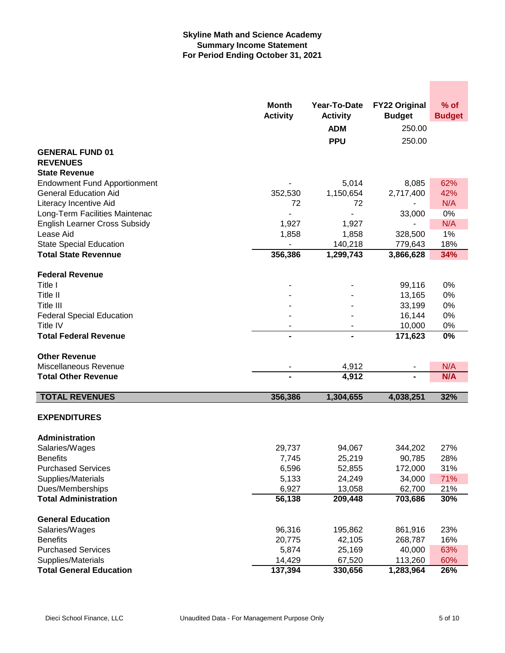## **Skyline Math and Science Academy Summary Income Statement For Period Ending October 31, 2021**

|                                      | <b>Month</b>              | Year-To-Date     | <b>FY22 Original</b> | $%$ of        |
|--------------------------------------|---------------------------|------------------|----------------------|---------------|
|                                      | <b>Activity</b>           | <b>Activity</b>  | <b>Budget</b>        | <b>Budget</b> |
|                                      |                           | <b>ADM</b>       | 250.00               |               |
|                                      |                           | <b>PPU</b>       | 250.00               |               |
| <b>GENERAL FUND 01</b>               |                           |                  |                      |               |
| <b>REVENUES</b>                      |                           |                  |                      |               |
| <b>State Revenue</b>                 |                           |                  |                      |               |
| <b>Endowment Fund Apportionment</b>  |                           | 5,014            | 8,085                | 62%           |
| <b>General Education Aid</b>         | 352,530                   | 1,150,654        | 2,717,400            | 42%           |
| Literacy Incentive Aid               | 72                        | 72               |                      | N/A           |
| Long-Term Facilities Maintenac       |                           | ä,               | 33,000               | 0%            |
| <b>English Learner Cross Subsidy</b> | 1,927                     | 1,927            |                      | N/A           |
| Lease Aid                            | 1,858                     | 1,858            | 328,500              | 1%            |
| <b>State Special Education</b>       |                           | 140,218          | 779,643              | 18%           |
| <b>Total State Revennue</b>          | 356,386                   | 1,299,743        | 3,866,628            | 34%           |
| <b>Federal Revenue</b>               |                           |                  |                      |               |
| Title I                              |                           |                  | 99,116               | 0%            |
| Title II                             |                           |                  | 13,165               | 0%            |
| Title III                            |                           |                  | 33,199               | 0%            |
| <b>Federal Special Education</b>     |                           |                  | 16,144               | 0%            |
| Title IV                             |                           |                  | 10,000               | 0%            |
| <b>Total Federal Revenue</b>         | 171,623<br>$\blacksquare$ |                  | 0%                   |               |
|                                      |                           |                  |                      |               |
| <b>Other Revenue</b>                 |                           |                  |                      |               |
| Miscellaneous Revenue                |                           | 4,912            |                      | N/A           |
| <b>Total Other Revenue</b>           |                           | 4,912            |                      | N/A           |
| <b>TOTAL REVENUES</b>                | 356,386                   | 1,304,655        | 4,038,251            | 32%           |
|                                      |                           |                  |                      |               |
| <b>EXPENDITURES</b>                  |                           |                  |                      |               |
|                                      |                           |                  |                      |               |
| Administration                       |                           |                  |                      |               |
| Salaries/Wages<br><b>Benefits</b>    | 29,737<br>7,745           | 94,067           | 344,202              | 27%           |
| <b>Purchased Services</b>            |                           | 25,219           | 90,785               | 28%<br>31%    |
| Supplies/Materials                   | 6,596<br>5,133            | 52,855<br>24,249 | 172,000<br>34,000    | 71%           |
| Dues/Memberships                     | 6,927                     | 13,058           | 62,700               | 21%           |
| <b>Total Administration</b>          | 56,138                    | 209,448          | 703,686              | 30%           |
|                                      |                           |                  |                      |               |
| <b>General Education</b>             |                           |                  |                      |               |
| Salaries/Wages                       | 96,316                    | 195,862          | 861,916              | 23%           |
| <b>Benefits</b>                      | 20,775                    | 42,105           | 268,787              | 16%           |
| <b>Purchased Services</b>            | 5,874                     | 25,169           | 40,000               | 63%           |
| Supplies/Materials                   | 14,429                    | 67,520           | 113,260              | 60%           |
| <b>Total General Education</b>       | 137,394                   | 330,656          | 1,283,964            | 26%           |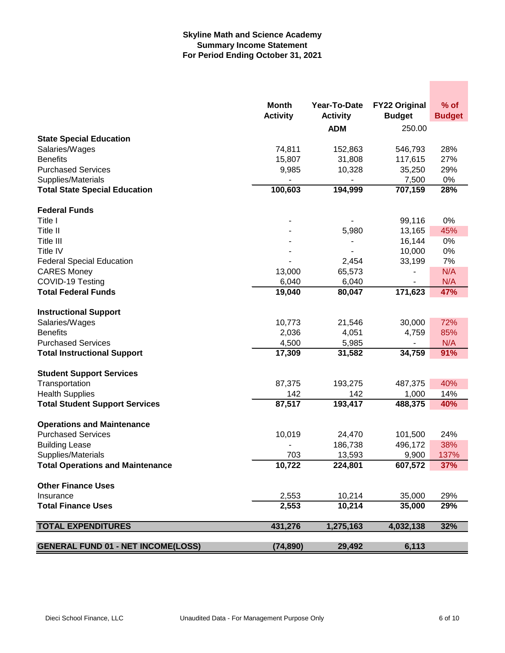## **Skyline Math and Science Academy Summary Income Statement For Period Ending October 31, 2021**

|                                           | <b>Month</b><br><b>Activity</b> | Year-To-Date<br><b>Activity</b> | <b>FY22 Original</b><br><b>Budget</b> | % of<br><b>Budget</b> |
|-------------------------------------------|---------------------------------|---------------------------------|---------------------------------------|-----------------------|
|                                           |                                 | <b>ADM</b>                      | 250.00                                |                       |
| <b>State Special Education</b>            |                                 |                                 |                                       |                       |
| Salaries/Wages                            | 74,811                          | 152,863                         | 546,793                               | 28%                   |
| <b>Benefits</b>                           | 15,807                          | 31,808                          | 117,615                               | 27%                   |
| <b>Purchased Services</b>                 | 9,985                           | 10,328                          | 35,250                                | 29%                   |
| Supplies/Materials                        |                                 |                                 | 7,500                                 | $0\%$                 |
| <b>Total State Special Education</b>      | 100,603                         | 194,999                         | 707,159                               | 28%                   |
| <b>Federal Funds</b>                      |                                 |                                 |                                       |                       |
| Title I                                   |                                 |                                 | 99,116                                | 0%                    |
| Title II                                  |                                 | 5,980                           | 13,165                                | 45%                   |
| Title III                                 |                                 |                                 | 16,144                                | $0\%$                 |
| Title IV                                  |                                 |                                 | 10,000                                | 0%                    |
| <b>Federal Special Education</b>          |                                 | 2,454                           | 33,199                                | 7%                    |
| <b>CARES Money</b>                        | 13,000                          | 65,573                          |                                       | N/A                   |
| COVID-19 Testing                          | 6,040                           | 6,040                           |                                       | N/A                   |
| <b>Total Federal Funds</b>                | 19,040                          | 80,047                          | 171, 623                              | 47%                   |
| <b>Instructional Support</b>              |                                 |                                 |                                       |                       |
| Salaries/Wages                            | 10,773                          | 21,546                          | 30,000                                | 72%                   |
| <b>Benefits</b>                           | 2,036                           | 4,051                           | 4,759                                 | 85%                   |
| <b>Purchased Services</b>                 | 4,500                           | 5,985                           |                                       | N/A                   |
| <b>Total Instructional Support</b>        | 17,309                          | 31,582                          | 34,759                                | 91%                   |
|                                           |                                 |                                 |                                       |                       |
| <b>Student Support Services</b>           |                                 |                                 |                                       |                       |
| Transportation                            | 87,375                          | 193,275                         | 487,375                               | 40%                   |
| <b>Health Supplies</b>                    | 142                             | 142                             | 1,000                                 | 14%                   |
| <b>Total Student Support Services</b>     | 87,517                          | 193,417                         | 488,375                               | 40%                   |
| <b>Operations and Maintenance</b>         |                                 |                                 |                                       |                       |
| <b>Purchased Services</b>                 | 10,019                          | 24,470                          | 101,500                               | 24%                   |
| <b>Building Lease</b>                     |                                 | 186,738                         | 496,172                               | 38%                   |
| Supplies/Materials                        | 703                             | 13,593                          | 9,900                                 | 137%                  |
| <b>Total Operations and Maintenance</b>   | 10,722                          | 224,801                         | 607,572                               | 37%                   |
| <b>Other Finance Uses</b>                 |                                 |                                 |                                       |                       |
| Insurance                                 | 2,553                           | 10,214                          | 35,000                                | 29%                   |
| <b>Total Finance Uses</b>                 | 2,553                           | 10,214                          | 35,000                                | 29%                   |
|                                           |                                 |                                 |                                       |                       |
| <b>TOTAL EXPENDITURES</b>                 | 431,276                         | 1,275,163                       | 4,032,138                             | 32%                   |
| <b>GENERAL FUND 01 - NET INCOME(LOSS)</b> | (74, 890)                       | 29,492                          | 6,113                                 |                       |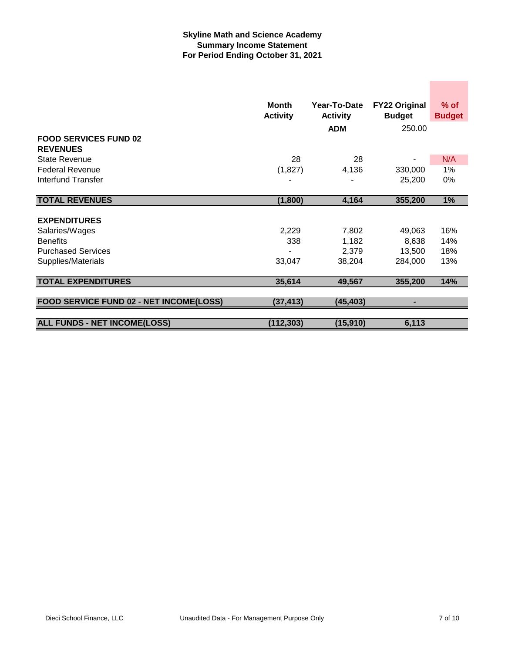## **Skyline Math and Science Academy Summary Income Statement For Period Ending October 31, 2021**

|                                                 | <b>Month</b><br>Year-To-Date<br><b>Activity</b><br><b>Activity</b> |            | <b>FY22 Original</b><br><b>Budget</b> | $%$ of<br><b>Budget</b> |
|-------------------------------------------------|--------------------------------------------------------------------|------------|---------------------------------------|-------------------------|
|                                                 |                                                                    | <b>ADM</b> | 250.00                                |                         |
| <b>FOOD SERVICES FUND 02</b><br><b>REVENUES</b> |                                                                    |            |                                       |                         |
| <b>State Revenue</b>                            | 28                                                                 | 28         |                                       | N/A                     |
| <b>Federal Revenue</b>                          | (1,827)                                                            | 4,136      | 330,000                               | 1%                      |
| <b>Interfund Transfer</b>                       |                                                                    |            | 25,200                                | 0%                      |
| <b>TOTAL REVENUES</b>                           | (1,800)                                                            | 4,164      | 355,200                               | 1%                      |
| <b>EXPENDITURES</b>                             |                                                                    |            |                                       |                         |
| Salaries/Wages                                  | 2,229                                                              | 7,802      | 49,063                                | 16%                     |
| <b>Benefits</b>                                 | 338                                                                | 1,182      | 8,638                                 | 14%                     |
| <b>Purchased Services</b>                       |                                                                    | 2,379      | 13,500                                | 18%                     |
| Supplies/Materials                              | 33,047                                                             | 38,204     | 284,000                               | 13%                     |
| <b>TOTAL EXPENDITURES</b>                       | 35,614                                                             | 49,567     | 355,200                               | 14%                     |
| FOOD SERVICE FUND 02 - NET INCOME(LOSS)         | (37, 413)                                                          | (45, 403)  |                                       |                         |
|                                                 |                                                                    |            |                                       |                         |
| <b>ALL FUNDS - NET INCOME(LOSS)</b>             | (112, 303)                                                         | (15, 910)  | 6,113                                 |                         |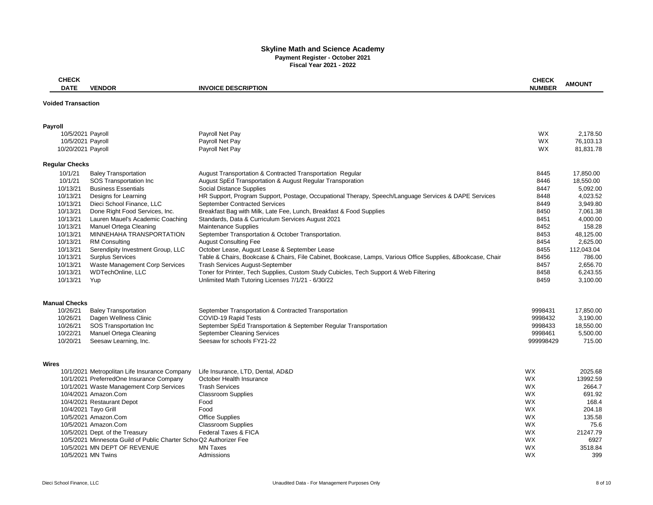# **Skyline Math and Science Academy Payment Register - October 2021 Fiscal Year 2021 - 2022**

| <b>CHECK</b>              |                                                                                                       |                                                                                                             | <b>CHECK</b>           |                |
|---------------------------|-------------------------------------------------------------------------------------------------------|-------------------------------------------------------------------------------------------------------------|------------------------|----------------|
| <b>DATE</b>               | <b>VENDOR</b>                                                                                         | <b>INVOICE DESCRIPTION</b>                                                                                  | <b>NUMBER</b>          | <b>AMOUNT</b>  |
| <b>Voided Transaction</b> |                                                                                                       |                                                                                                             |                        |                |
|                           |                                                                                                       |                                                                                                             |                        |                |
| <b>Payroll</b>            |                                                                                                       |                                                                                                             |                        |                |
| 10/5/2021 Payroll         |                                                                                                       | Payroll Net Pay                                                                                             | <b>WX</b>              | 2,178.50       |
| 10/5/2021 Payroll         |                                                                                                       | Payroll Net Pay                                                                                             | <b>WX</b>              | 76,103.13      |
| 10/20/2021 Payroll        |                                                                                                       | Payroll Net Pay                                                                                             | WX                     | 81,831.78      |
| <b>Regular Checks</b>     |                                                                                                       |                                                                                                             |                        |                |
| 10/1/21                   | <b>Baley Transportation</b>                                                                           | August Transportation & Contracted Transportation Regular                                                   | 8445                   | 17,850.00      |
| 10/1/21                   | SOS Transportation Inc                                                                                | August SpEd Transportation & August Regular Transporation                                                   | 8446                   | 18,550.00      |
| 10/13/21                  | <b>Business Essentials</b>                                                                            | <b>Social Distance Supplies</b>                                                                             | 8447                   | 5,092.00       |
| 10/13/21                  | Designs for Learning                                                                                  | HR Support, Program Support, Postage, Occupational Therapy, Speech/Language Services & DAPE Services        | 8448                   | 4,023.52       |
| 10/13/21                  | Dieci School Finance, LLC                                                                             | <b>September Contracted Services</b>                                                                        | 8449                   | 3,949.80       |
| 10/13/21                  | Done Right Food Services, Inc.                                                                        | Breakfast Bag with Milk, Late Fee, Lunch, Breakfast & Food Supplies                                         | 8450                   | 7,061.38       |
| 10/13/21                  | Lauren Mauel's Academic Coaching                                                                      | Standards, Data & Curriculum Services August 2021                                                           | 8451                   | 4,000.00       |
| 10/13/21                  | Manuel Ortega Cleaning                                                                                | <b>Maintenance Supplies</b>                                                                                 | 8452                   | 158.28         |
| 10/13/21                  | MINNEHAHA TRANSPORTATION                                                                              | September Transportation & October Transportation.                                                          | 8453                   | 48,125.00      |
| 10/13/21                  | <b>RM Consulting</b>                                                                                  | <b>August Consulting Fee</b>                                                                                | 8454                   | 2,625.00       |
| 10/13/21                  | Serendipity Investment Group, LLC                                                                     | October Lease, August Lease & September Lease                                                               | 8455                   | 112,043.04     |
| 10/13/21                  | <b>Surplus Services</b>                                                                               | Table & Chairs, Bookcase & Chairs, File Cabinet, Bookcase, Lamps, Various Office Supplies, &Bookcase, Chair | 8456                   | 786.00         |
| 10/13/21                  | Waste Management Corp Services                                                                        | <b>Trash Services August-September</b>                                                                      | 8457                   | 2,656.70       |
| 10/13/21                  | <b>WDTechOnline, LLC</b>                                                                              | Toner for Printer, Tech Supplies, Custom Study Cubicles, Tech Support & Web Filtering                       | 8458                   | 6,243.55       |
| 10/13/21                  | Yup                                                                                                   | Unlimited Math Tutoring Licenses 7/1/21 - 6/30/22                                                           | 8459                   | 3,100.00       |
| <b>Manual Checks</b>      |                                                                                                       |                                                                                                             |                        |                |
| 10/26/21                  | <b>Baley Transportation</b>                                                                           | September Transportation & Contracted Transportation                                                        | 9998431                | 17,850.00      |
| 10/26/21                  | Dagen Wellness Clinic                                                                                 | COVID-19 Rapid Tests                                                                                        | 9998432                | 3,190.00       |
| 10/26/21                  | SOS Transportation Inc                                                                                | September SpEd Transportation & September Regular Transportation                                            | 9998433                | 18,550.00      |
| 10/22/21                  | Manuel Ortega Cleaning                                                                                | <b>September Cleaning Services</b>                                                                          | 9998461                | 5,500.00       |
| 10/20/21                  | Seesaw Learning, Inc.                                                                                 | Seesaw for schools FY21-22                                                                                  | 999998429              | 715.00         |
|                           |                                                                                                       |                                                                                                             |                        |                |
| <b>Wires</b>              | 10/1/2021 Metropolitan Life Insurance Company                                                         | Life Insurance, LTD, Dental, AD&D                                                                           | <b>WX</b>              | 2025.68        |
|                           |                                                                                                       |                                                                                                             |                        |                |
|                           | 10/1/2021 PreferredOne Insurance Company                                                              | October Health Insurance                                                                                    | <b>WX</b>              | 13992.59       |
|                           | 10/1/2021 Waste Management Corp Services<br>10/4/2021 Amazon.Com                                      | <b>Trash Services</b>                                                                                       | <b>WX</b>              | 2664.7         |
|                           |                                                                                                       | <b>Classroom Supplies</b>                                                                                   | WX<br><b>WX</b>        | 691.92         |
|                           | 10/4/2021 Restaurant Depot                                                                            | Food                                                                                                        |                        | 168.4          |
|                           | 10/4/2021 Tayo Grill<br>10/5/2021 Amazon.Com                                                          | Food                                                                                                        | <b>WX</b><br><b>WX</b> | 204.18         |
|                           | 10/5/2021 Amazon.Com                                                                                  | <b>Office Supplies</b>                                                                                      | <b>WX</b>              | 135.58<br>75.6 |
|                           |                                                                                                       | <b>Classroom Supplies</b><br>Federal Taxes & FICA                                                           |                        |                |
|                           | 10/5/2021 Dept. of the Treasury<br>10/5/2021 Minnesota Guild of Public Charter Scho Q2 Authorizer Fee |                                                                                                             | <b>WX</b>              | 21247.79       |
|                           | 10/5/2021 MN DEPT OF REVENUE                                                                          | <b>MN Taxes</b>                                                                                             | <b>WX</b><br><b>WX</b> | 6927           |
|                           |                                                                                                       |                                                                                                             |                        | 3518.84        |
|                           | 10/5/2021 MN Twins                                                                                    | Admissions                                                                                                  | WX.                    | 399            |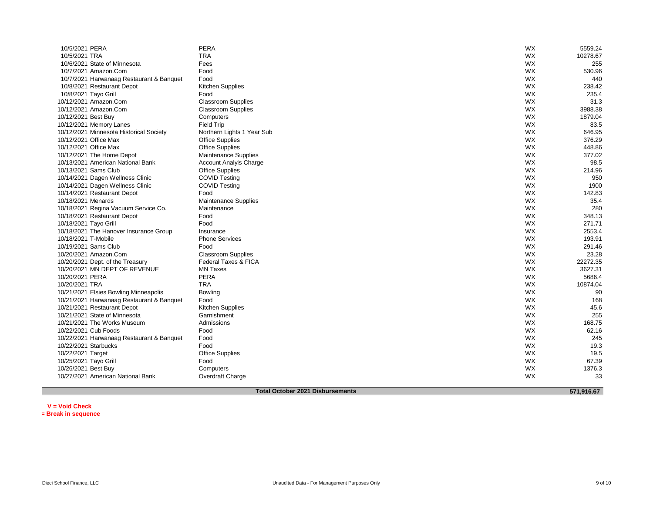| 10/5/2021 PERA                            | <b>PERA</b>                   | <b>WX</b> | 5559.24  |
|-------------------------------------------|-------------------------------|-----------|----------|
| 10/5/2021 TRA                             | <b>TRA</b>                    | WX        | 10278.67 |
| 10/6/2021 State of Minnesota              | Fees                          | WX        | 255      |
| 10/7/2021 Amazon.Com                      | Food                          | WX        | 530.96   |
| 10/7/2021 Harwanaag Restaurant & Banquet  | Food                          | WX        | 440      |
| 10/8/2021 Restaurant Depot                | Kitchen Supplies              | WX        | 238.42   |
| 10/8/2021 Tayo Grill                      | Food                          | WX        | 235.4    |
| 10/12/2021 Amazon.Com                     | <b>Classroom Supplies</b>     | WX        | 31.3     |
| 10/12/2021 Amazon.Com                     | <b>Classroom Supplies</b>     | WX        | 3988.38  |
| 10/12/2021 Best Buy                       | Computers                     | WX        | 1879.04  |
| 10/12/2021 Memory Lanes                   | <b>Field Trip</b>             | WX        | 83.5     |
| 10/12/2021 Minnesota Historical Society   | Northern Lights 1 Year Sub    | WX        | 646.95   |
| 10/12/2021 Office Max                     | <b>Office Supplies</b>        | WX        | 376.29   |
| 10/12/2021 Office Max                     | <b>Office Supplies</b>        | WX        | 448.86   |
| 10/12/2021 The Home Depot                 | <b>Maintenance Supplies</b>   | WX        | 377.02   |
| 10/13/2021 American National Bank         | <b>Account Analyis Charge</b> | WX        | 98.5     |
| 10/13/2021 Sams Club                      | <b>Office Supplies</b>        | WX        | 214.96   |
| 10/14/2021 Dagen Wellness Clinic          | <b>COVID Testing</b>          | WX        | 950      |
| 10/14/2021 Dagen Wellness Clinic          | <b>COVID Testing</b>          | WX        | 1900     |
| 10/14/2021 Restaurant Depot               | Food                          | WX        | 142.83   |
| 10/18/2021 Menards                        | <b>Maintenance Supplies</b>   | WX        | 35.4     |
| 10/18/2021 Regina Vacuum Service Co.      | Maintenance                   | WX        | 280      |
| 10/18/2021 Restaurant Depot               | Food                          | WX        | 348.13   |
| 10/18/2021 Tayo Grill                     | Food                          | WX        | 271.71   |
| 10/18/2021 The Hanover Insurance Group    | Insurance                     | WX        | 2553.4   |
| 10/18/2021 T-Mobile                       | <b>Phone Services</b>         | <b>WX</b> | 193.91   |
| 10/19/2021 Sams Club                      | Food                          | WX        | 291.46   |
| 10/20/2021 Amazon.Com                     | <b>Classroom Supplies</b>     | WX        | 23.28    |
| 10/20/2021 Dept. of the Treasury          | Federal Taxes & FICA          | WX        | 22272.35 |
| 10/20/2021 MN DEPT OF REVENUE             | <b>MN Taxes</b>               | WX        | 3627.31  |
| 10/20/2021 PERA                           | <b>PERA</b>                   | WX        | 5686.4   |
| 10/20/2021 TRA                            | <b>TRA</b>                    | WX        | 10874.04 |
| 10/21/2021 Elsies Bowling Minneapolis     | <b>Bowling</b>                | WX        | 90       |
| 10/21/2021 Harwanaag Restaurant & Banquet | Food                          | WX        | 168      |
| 10/21/2021 Restaurant Depot               | <b>Kitchen Supplies</b>       | WX        | 45.6     |
| 10/21/2021 State of Minnesota             | Garnishment                   | <b>WX</b> | 255      |
| 10/21/2021 The Works Museum               | Admissions                    | WX        | 168.75   |
| 10/22/2021 Cub Foods                      | Food                          | WX        | 62.16    |
| 10/22/2021 Harwanaag Restaurant & Banquet | Food                          | WX        | 245      |
| 10/22/2021 Starbucks                      | Food                          | WX        | 19.3     |
| 10/22/2021 Target                         | <b>Office Supplies</b>        | WX        | 19.5     |
| 10/25/2021 Tayo Grill                     | Food                          | WX        | 67.39    |
| 10/26/2021 Best Buy                       | Computers                     | WX        | 1376.3   |
| 10/27/2021 American National Bank         | Overdraft Charge              | WX        | 33       |
|                                           |                               |           |          |

**Total October 2021 Disbursements**

 **571,916.67**

**V = Void Check**

**\*= Break in sequence**